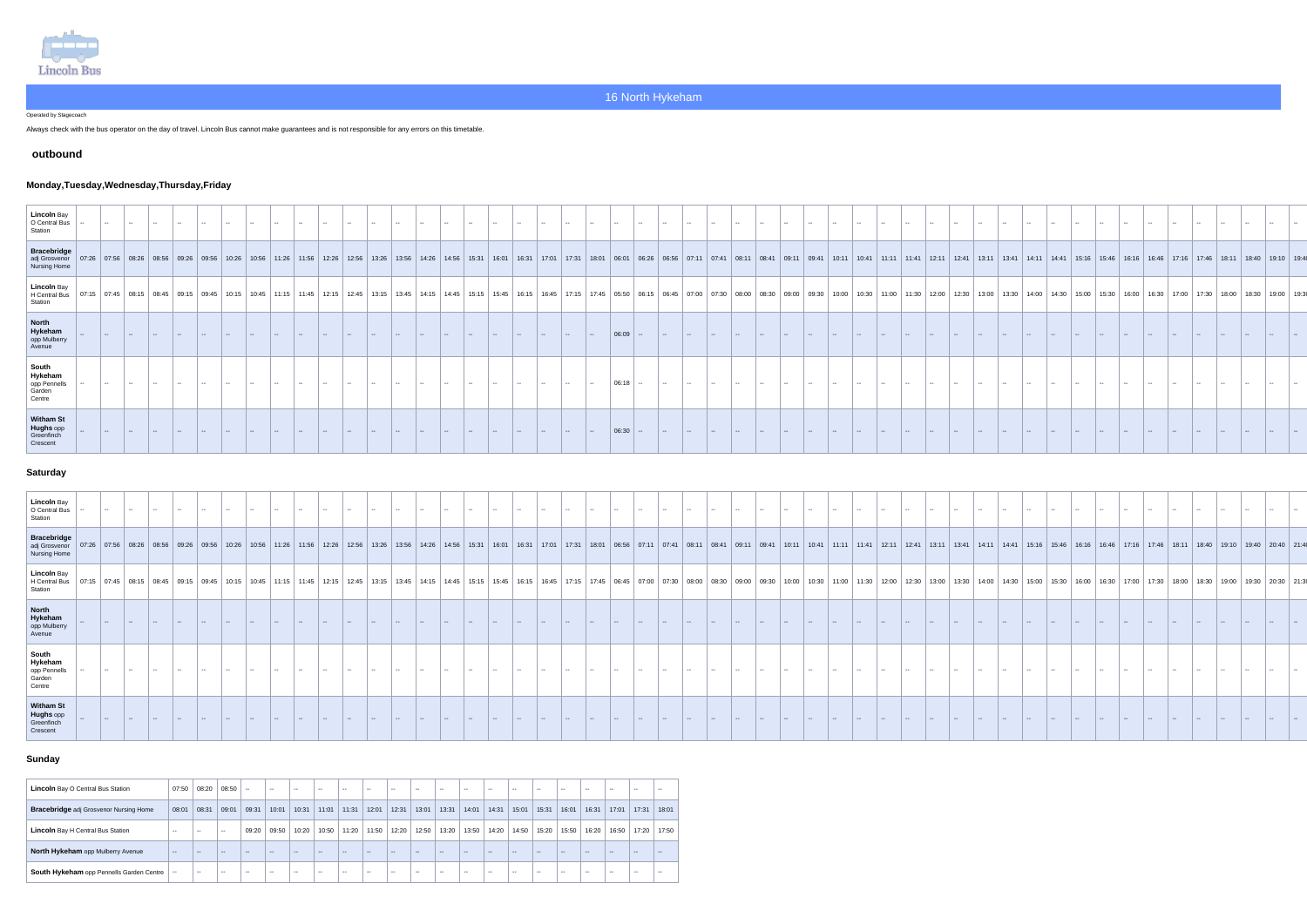

Operated by Stagecoach

Always check with the bus operator on the day of travel. Lincoln Bus cannot make guarantees and is not responsible for any errors on this timetable.

#### **outbound**

# **Monday,Tuesday,Wednesday,Thursday,Friday**

| Lincoln Bay<br>O Central Bus<br>Station                       |       |               |         |       |                                                                                                                                                                         |  |       |       |       |       |                     |       |       |       |       |       |       |                                                                                               |                             |       |              |       |       |       |       |  |       |       |       |                 |                                                                                                                                               |               |       |       |       |       |  |                         |  |
|---------------------------------------------------------------|-------|---------------|---------|-------|-------------------------------------------------------------------------------------------------------------------------------------------------------------------------|--|-------|-------|-------|-------|---------------------|-------|-------|-------|-------|-------|-------|-----------------------------------------------------------------------------------------------|-----------------------------|-------|--------------|-------|-------|-------|-------|--|-------|-------|-------|-----------------|-----------------------------------------------------------------------------------------------------------------------------------------------|---------------|-------|-------|-------|-------|--|-------------------------|--|
| Bracebridge<br>adj Grosvenor<br>Nursing Home                  |       |               |         |       | $07:26$   $07:56$   $08:26$   $08:56$   $09:26$   $09:56$   $10:26$   $11:26$   $11:56$   $12:26$   $12:56$   $13:26$   $13:56$   $14:26$   $14:56$   $15:31$   $16:01$ |  |       |       |       |       |                     |       |       |       |       |       |       | 16:31   17:01   17:31   18:01   06:01   06:26   06:56   07:11   07:41   08:11   08:41   09:11 |                             |       |              |       |       |       |       |  |       |       |       |                 | 09:41   10:11   10:41   11:11   11:41   12:11   12:41   13:11   13:41   14:11   14:41   15:16   15:46   16:16   16:46   17:16   17:46   18:11 |               |       |       |       |       |  | │ 18:40 │ 19:10 │ 19:40 |  |
| Lincoln Bay<br>H Central Bus<br>Station                       | 07:45 | $08:15$ 08:45 | 1.09.15 | 09.45 | 10:15                                                                                                                                                                   |  | 11:45 | 12:15 | 12:45 | 13:15 | $13:45$ 14:15 14:45 | 15:15 | 15:45 | 16.15 | 16:45 | 17:15 | 17:45 | $\vert$ 05:50 $\vert$ 06:15                                                                   | $\vert$ 06:45 $\vert$ 07:00 | 07:30 | <b>08:00</b> | 08.30 | 09:00 | 09:30 | 10:00 |  | 11:30 | 12:00 | 12:30 | $13:00$ $13:30$ |                                                                                                                                               | $\vert$ 14:00 | 14:30 | 15:00 | 15.30 | 16:30 |  |                         |  |
| North<br>Hykeham<br>opp Mulberry<br>Avenue                    |       |               |         |       |                                                                                                                                                                         |  |       |       |       |       |                     |       |       |       |       |       |       | 06:09                                                                                         |                             |       |              |       |       |       |       |  |       |       |       |                 |                                                                                                                                               |               |       |       |       |       |  |                         |  |
| South<br>Hykeham<br>opp Pennells<br>Garden<br>Centre          |       |               |         |       |                                                                                                                                                                         |  |       |       |       |       |                     |       |       |       |       |       |       | $  06:18   -$                                                                                 |                             |       |              |       |       |       |       |  |       |       |       |                 |                                                                                                                                               |               |       |       |       |       |  |                         |  |
| <b>Witham St</b><br>Hughs opp<br>Greenfing<br><b>Crescent</b> |       |               |         |       |                                                                                                                                                                         |  |       |       |       |       |                     |       |       |       |       |       |       | 06:30                                                                                         |                             |       |              |       |       |       |       |  |       |       |       |                 |                                                                                                                                               |               |       |       |       |       |  |                         |  |

#### **Saturday**

| Lincoln Bay<br>O Central Bus<br>Station                       |               |       |                              |       |                                                                                                                                                                                                                                |       |       |       |       |       |                   |       |       |       |       |              |       |       |        |       |       |       |       |         |       |       |       |       |       |       |       |       |       |       |  |  |  |
|---------------------------------------------------------------|---------------|-------|------------------------------|-------|--------------------------------------------------------------------------------------------------------------------------------------------------------------------------------------------------------------------------------|-------|-------|-------|-------|-------|-------------------|-------|-------|-------|-------|--------------|-------|-------|--------|-------|-------|-------|-------|---------|-------|-------|-------|-------|-------|-------|-------|-------|-------|-------|--|--|--|
| Bracebridge<br>adj Grosvenor<br>$\vert$ 07:26<br>Nursing Home |               |       |                              |       | 7.66   09:26   09:26   09:26   09:26   0.26   0.26   0.26   0.26   0.26   0.26   0.26   0.26   0.26   0.26   0.26   0.26   0.26   0.26   0.26   0.26   0.26   0.26   0.26   0.26   0.26   0.26   0.26   0.26   0.26   0.26   0 |       |       |       |       |       |                   |       |       |       |       |              |       |       |        |       |       |       |       |         |       |       |       |       |       |       |       |       |       |       |  |  |  |
| Lincoln Bay<br>H Central Bus<br>  07:15<br>Station            | 07:45   08:15 | 08:45 | $\left  09:15 \right  09:45$ | 10.15 | 10:45<br>11:15                                                                                                                                                                                                                 | 11:45 | 12.45 | 13.15 | 14:15 | 14.45 | $15.45$   $16.15$ | 16:45 | 17.15 | 17:45 | 06.45 | <u>በ7፡00</u> | 07:30 | ∩R∙NN | ∩กร∙จ∩ | 09:00 | 09.30 | 10:00 | 10.30 | 11:00 I | 12:00 | 12:30 | 13∙∩∩ | 13.30 | 14:30 | 15.00 | 16:00 | 16.30 | 17:00 | 18:00 |  |  |  |
| North<br>Hykeham<br>opp Mulberry<br>Avenue                    |               |       |                              |       |                                                                                                                                                                                                                                |       |       |       |       |       |                   |       |       |       |       |              |       |       |        |       |       |       |       |         |       |       |       |       |       |       |       |       |       |       |  |  |  |
| South<br>$\vert$ Hykeham<br>opp Pennells<br>Garden<br>Centre  |               |       |                              |       |                                                                                                                                                                                                                                |       |       |       |       |       |                   |       |       |       |       |              |       |       |        |       |       |       |       |         |       |       |       |       |       |       |       |       |       |       |  |  |  |
| <b>Witham St</b><br>Hughs opp<br>Greenfinch<br>Crescent       |               |       |                              |       |                                                                                                                                                                                                                                |       |       |       |       |       |                   |       |       |       |       |              |       |       |        |       |       |       |       |         |       |       |       |       |       |       |       |       |       |       |  |  |  |

# **Sunday**

| <b>Lincoln</b> Bay O Central Bus Station      | 07:50          | 08:20         | 08:50                    | $\sim$        | $\sim$                   | $\sim$ $\sim$ | $\sim$        | $\sim$ $\sim$            | $\sim$ $\sim$ | $\sim$ $\sim$            | $\sim$ $\sim$ | $- -$  | $\sim$ | $\sim$ $\sim$ | $\sim$ $\sim$ | $\sim$ $\sim$            | $\sim$ $\sim$ | $\sim$                   | $\sim$ $\sim$ | $\sim$ $-$    | $\sim$ $\sim$ |
|-----------------------------------------------|----------------|---------------|--------------------------|---------------|--------------------------|---------------|---------------|--------------------------|---------------|--------------------------|---------------|--------|--------|---------------|---------------|--------------------------|---------------|--------------------------|---------------|---------------|---------------|
| <b>Bracebridge</b> adj Grosvenor Nursing Home | 08:01          | 08:31         | 09:01                    | 09:31         | 10:01                    | 10:31         | 11:01         | 11:31                    | 12:01         | 12:31                    | 13:01         | 13:31  | 14:01  | 14:31         | 15:01         | 15:31                    | 16:01         | 16:31                    | 17:01         | 17:31         | 18:01         |
| <b>Lincoln</b> Bay H Central Bus Station      | $-1$           | $\sim$ $\sim$ | $\sim$ $\sim$            | 09:20         | 09:50                    | 10:20         | 10:50         | 11:20                    | 11:50         | 12:20                    | 12:50         | 13:20  | 13:50  | 14:20         | 14:50         | 15:20                    | 15:50         | 16:20                    | 16:50         | 17:20         | 17:50         |
| North Hykeham opp Mulberry Avenue             | <b>Service</b> | $\sim$ $-$    | $\overline{\phantom{m}}$ | $\sim$ $-$    | $\overline{\phantom{m}}$ | $\sim$ $\sim$ | $\sim$ $\sim$ | $\overline{\phantom{a}}$ | $\sim$        | $\overline{\phantom{m}}$ | $\sim$        | $\sim$ | $- -$  | $\sim$ $-$    | $- -$         | $\overline{\phantom{m}}$ | $\sim$ $-$    | $\overline{\phantom{m}}$ | $\sim$ $-$    | $\sim$ $-$    | $-$           |
| South Hykeham opp Pennells Garden Centre      | $\sim$         | $\sim$ $\sim$ | $\sim$ $\sim$            | $\sim$ $\sim$ | $\sim$                   | $\sim$        | $\sim$        | $\sim$ $\sim$            | $\sim$ $\sim$ | $\sim$ $\sim$            | $\sim$ $\sim$ | $- -$  | $\sim$ | $\sim$        | $\sim$ $\sim$ | $\sim$                   | $\sim$ $\sim$ | $\sim$                   | $\sim$        | $\sim$ $\sim$ | $\sim$        |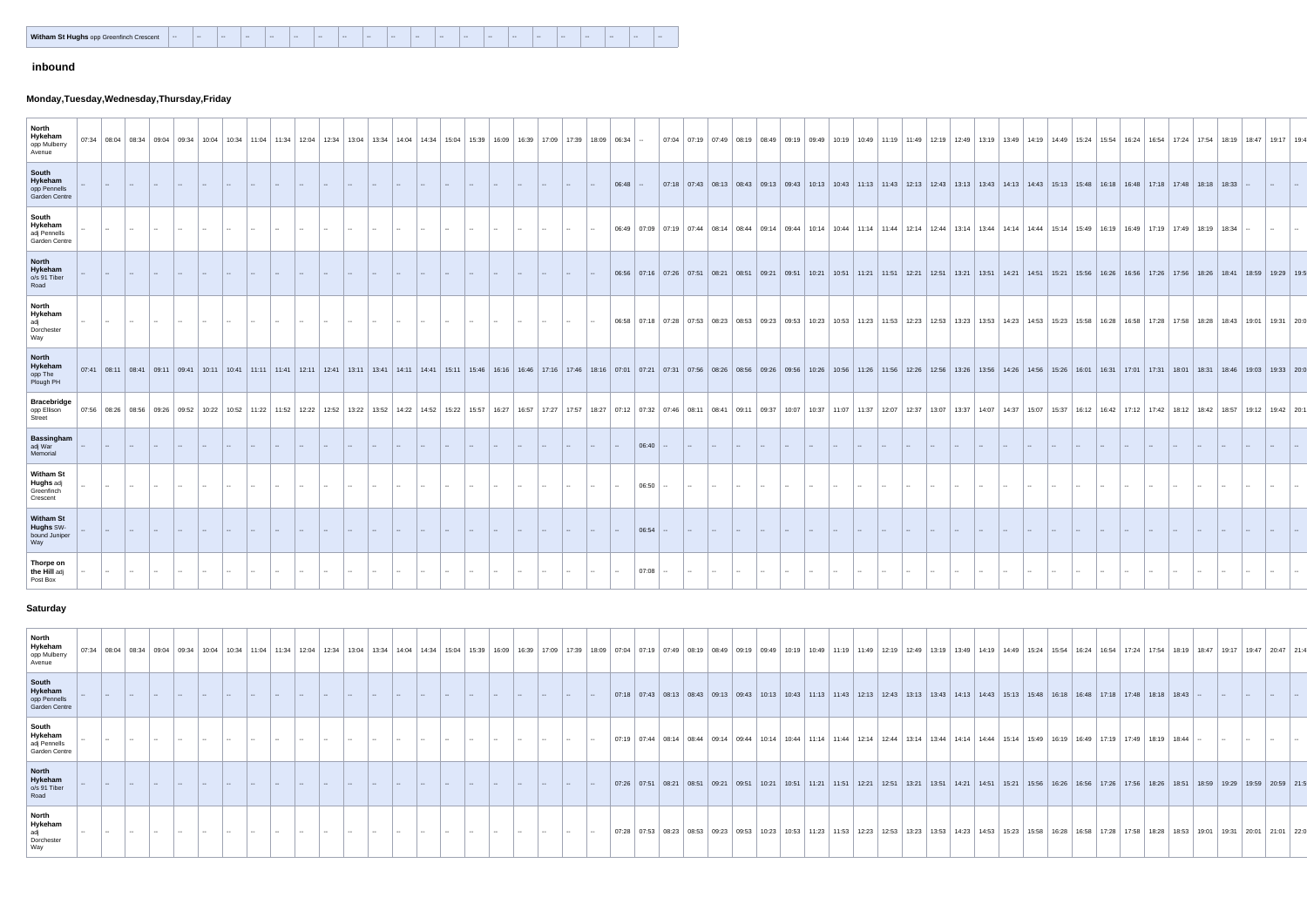|  | Witham St Hughs opp Greenfinch Crescent | $- -$ | $- -$ | $\overline{\phantom{a}}$ | $- -$ | $- -$ | $- -$ | $- -$ | $\sim$ $-$ | $- -$ | $- -$ | $\sim$ | $- -$ | $- -$ | $\sim$ | $-$ | $- -$ | $- -$ | <b>Service</b> | $- -$ | $- -$ | $- -$ |
|--|-----------------------------------------|-------|-------|--------------------------|-------|-------|-------|-------|------------|-------|-------|--------|-------|-------|--------|-----|-------|-------|----------------|-------|-------|-------|
|--|-----------------------------------------|-------|-------|--------------------------|-------|-------|-------|-------|------------|-------|-------|--------|-------|-------|--------|-----|-------|-------|----------------|-------|-------|-------|

# **inbound**

# **Monday,Tuesday,Wednesday,Thursday,Friday**

| <b>North</b><br>Hykeham<br>opp Mulberry<br>Avenue              |        |                   |  |  |  | $07:34$   08:04   08:34   09:04   09:34   10:04   10:34   11:04   11:34   12:04 | 12:34 | $13.04$   13:34 |  |     |  |                |                |               | │ 14:04 │ 14:34 │ 15:04 │ 15:39 │ 16:09 │ 16:39 │ 17:09 │ 17:39 │ 18:09 │ 06:34 │ -- |                    |                                                                                                                                                                                                                                |  |     |               |                          |                                                                                                                                     |               |             |  |               |  |  |  |  |  | 07:04   07:19   07:49   08:19   08:49   09:19   09:49   10:19   10:49   11:19   11:49   12:19   12:49   13:19   13:49   14:19   14:49   15:24   15:54   16:54   16:54   17:24   17:54   18:19 |       |       | 18:47 | 19.17      | 19:4 |
|----------------------------------------------------------------|--------|-------------------|--|--|--|---------------------------------------------------------------------------------|-------|-----------------|--|-----|--|----------------|----------------|---------------|--------------------------------------------------------------------------------------|--------------------|--------------------------------------------------------------------------------------------------------------------------------------------------------------------------------------------------------------------------------|--|-----|---------------|--------------------------|-------------------------------------------------------------------------------------------------------------------------------------|---------------|-------------|--|---------------|--|--|--|--|--|-----------------------------------------------------------------------------------------------------------------------------------------------------------------------------------------------|-------|-------|-------|------------|------|
| South<br>Hykeham<br>opp Pennells<br><b>Garden Centre</b>       |        |                   |  |  |  |                                                                                 |       |                 |  |     |  |                |                |               |                                                                                      | 06:48              |                                                                                                                                                                                                                                |  |     |               |                          |                                                                                                                                     |               |             |  |               |  |  |  |  |  | 07:18   07:43   08:13   08:43   09:13   09:43   10:13   10:43   11:13   11:43   12:13   12:43   13:13   13:43   14:13   14:43   15:13   15:48   16:18   16:48   17:18   17:48   18:18   18:33 |       |       |       |            |      |
| South<br>Hykeham<br>adj Pennells<br><b>Garden Centre</b>       |        |                   |  |  |  |                                                                                 |       |                 |  |     |  |                |                |               |                                                                                      | 06:49              | $\sqrt{07.09}$                                                                                                                                                                                                                 |  |     |               |                          | 07:19 07:44 08:14 08:44 09:14 09:44 10:14 10:44 11:14 11:44 12:14 12:44 13:14 13:44 14:14 14:44 15:14 15:49 16:19 16:49 17:19 17:49 |               |             |  |               |  |  |  |  |  |                                                                                                                                                                                               | 18.19 | 18.34 |       |            |      |
| <b>North</b><br>Hykeham<br>o/s 91 Tiber<br>Road                |        |                   |  |  |  |                                                                                 |       |                 |  |     |  |                |                |               |                                                                                      |                    | 06:56   07:16   07:26   07:51   08:21   08:51   09:21   09:51   10:21   10:51   11:21   11:51   12:21   12:51   13:21   13:51   14:21   14:51   15:56   15:26   16:26   16:56   17:26   17:56   18:41   18:59   18:41   18:59  |  |     |               |                          |                                                                                                                                     |               |             |  |               |  |  |  |  |  |                                                                                                                                                                                               |       |       |       | 19:29 19:5 |      |
| <b>North</b><br><b>Hykeham</b><br>adj<br>Dorchester<br>Way     |        |                   |  |  |  |                                                                                 |       |                 |  |     |  |                |                |               |                                                                                      | 06:58              | $\sqrt{07.18}$                                                                                                                                                                                                                 |  |     |               |                          |                                                                                                                                     |               |             |  |               |  |  |  |  |  | 07:28   07:53   08:23   08:53   09:23   09:53   10:23   10:53   11:23   11:53   12:23   12:53   13:23   13:53   14:23   14:53   15:58   15:58   16:28   16:58   17:28   17:58   18:43         |       |       | 19:01 | 19:31      |      |
| <b>North</b><br>Hykeham<br>opp The<br>Plough PH                |        |                   |  |  |  |                                                                                 |       |                 |  |     |  |                |                |               |                                                                                      |                    | 19911 09:41 09:41 09:41 0.11 11:41 11:41 12:41 1.11 12:41 11:41 12:41 1.11 11:41 12:41 1.11 11:41 12:41 1.11 11:41 12:41 1.11 11:41 12:41 1.12:41 1.12:41 1.12:41 1.12:41 1.12:41 1.12:41 1.12:41 1.12:41 1.12:41 1.12:41 1.12 |  |     |               |                          |                                                                                                                                     |               |             |  |               |  |  |  |  |  |                                                                                                                                                                                               |       |       |       |            |      |
| <b>Bracebridge</b><br>opp Ellison<br>Street                    |        |                   |  |  |  |                                                                                 |       |                 |  |     |  |                |                |               |                                                                                      |                    | 19:31 13:37 14:07 14:37 14:07 14:37 14:07 14:37 15:37 11:22 12:42 12:42 12:42 12:54 12:22 12:54 12:22 12:54 14:22 14:52 14:52 14:52 14:52 14:52 14:52 14:52 14:52 14:52 14:52 14:52 12:27 11:52 14:52 14:52 14:52 14:52 14:52  |  |     |               |                          |                                                                                                                                     |               |             |  |               |  |  |  |  |  |                                                                                                                                                                                               |       |       |       |            |      |
| <b>Bassingham</b><br>adj War<br>Memorial                       |        |                   |  |  |  |                                                                                 |       |                 |  |     |  |                |                |               |                                                                                      |                    |                                                                                                                                                                                                                                |  |     |               |                          |                                                                                                                                     |               |             |  |               |  |  |  |  |  |                                                                                                                                                                                               |       |       |       |            |      |
| <b>Witham St</b><br><b>Hughs</b> adj<br>Greenfinch<br>Crescent |        |                   |  |  |  |                                                                                 |       |                 |  | $-$ |  | <b>Product</b> | <b>Service</b> | $\sim$ $\sim$ |                                                                                      | <b>I</b>           |                                                                                                                                                                                                                                |  |     |               |                          | $\sim$                                                                                                                              | $\sim$ $\sim$ | 1. <b>.</b> |  | $\sim$ $\sim$ |  |  |  |  |  |                                                                                                                                                                                               |       |       |       |            |      |
| <b>Witham St</b><br><b>Hughs SW-</b><br>bound Juniper<br>Way   |        | 1. <del>. .</del> |  |  |  |                                                                                 |       |                 |  |     |  | $\sim$ $ \sim$ | $\sim$ $\sim$  |               |                                                                                      | $\ $ $\rightarrow$ |                                                                                                                                                                                                                                |  | --- |               | $\sim$                   | l —                                                                                                                                 |               |             |  |               |  |  |  |  |  |                                                                                                                                                                                               |       |       |       |            |      |
| Thorpe on<br>the Hill adj<br>Post Box                          | $\sim$ |                   |  |  |  |                                                                                 |       |                 |  |     |  |                |                | $- -$         | <b>Product</b>                                                                       | $\sim$ $\sim$      | $\mid 07:08 \mid -$                                                                                                                                                                                                            |  |     | $\sim$ $\sim$ | <b>Contract Contract</b> |                                                                                                                                     |               |             |  |               |  |  |  |  |  |                                                                                                                                                                                               |       |       |       |            |      |

#### **Saturday**

| North<br>Hykeham<br>07:34<br>opp Mulberry<br>Avenue |  |  |  |  |  |  |  |  |  |  |  |  |                                                       |  | 03:4   10:04   10:34   10:04   10:34   10:04   10:34   10:04   10:34   10:04   12:34   12:04   12:34   13:04   14:34   14:04   14:34   15:04   16:39   16:09   16:39   17:09   17:39   18:09   08:49   09:19   08:49   08:04  |  |             |       |               |  |                         |  |               |               |                |  |
|-----------------------------------------------------|--|--|--|--|--|--|--|--|--|--|--|--|-------------------------------------------------------|--|-------------------------------------------------------------------------------------------------------------------------------------------------------------------------------------------------------------------------------|--|-------------|-------|---------------|--|-------------------------|--|---------------|---------------|----------------|--|
| South<br>Hykeham<br>opp Pennells<br>Garden Centre   |  |  |  |  |  |  |  |  |  |  |  |  |                                                       |  | 07:18   07:43   08:13   08:43   09:13   09:43   10:13   10:43   11:13   11:43   12:13   12:43   13:13   13:43   14:13   14:43   15:13   15:48   16:18   16:48   17:18   17:48   18:18   18:43   --                            |  |             |       |               |  |                         |  |               |               |                |  |
| South<br>Hykeham<br>adj Pennells<br>Garden Centre   |  |  |  |  |  |  |  |  |  |  |  |  |                                                       |  | 07:19   07:44   08:14   08:44   09:14   09:44   10:14   10:44   11:14   11:44   12:14   12:44   13:14   13:44   14:14   14:44   15:14   15:49   16:19   16:49   17:19   17:49   18:19   18:44   --                            |  |             |       |               |  |                         |  |               |               |                |  |
| North<br>Hykeham<br>$\cos 91$ Tiber<br>Road         |  |  |  |  |  |  |  |  |  |  |  |  |                                                       |  | 07:26   07:51   08:21   08:51   09:21   09:51   10:21   10:51   11:21   11:51   12:21   12:51   13:21   13:51   14:21   14:51   15:56   16:56   16:56   16:56   17:26   17:56   18:26   18:51   18:59   19:29   19:59   20:59 |  |             |       |               |  |                         |  |               |               |                |  |
| North<br>Hvkeham<br>Dorchester                      |  |  |  |  |  |  |  |  |  |  |  |  | 07:28   07:53   08:23   08:53   09:23   09:53   10:23 |  | 10:53   11:23   11:53   12:23   12:53   13:23                                                                                                                                                                                 |  | 13:53 14:23 | 14:53 | 15:23   15:58 |  | │ 16:28 │ 16:58 │ 17:28 |  | 18:53   19:01 | $19:31$ 20:01 | ∣ 21:01 ∣ 22:0 |  |